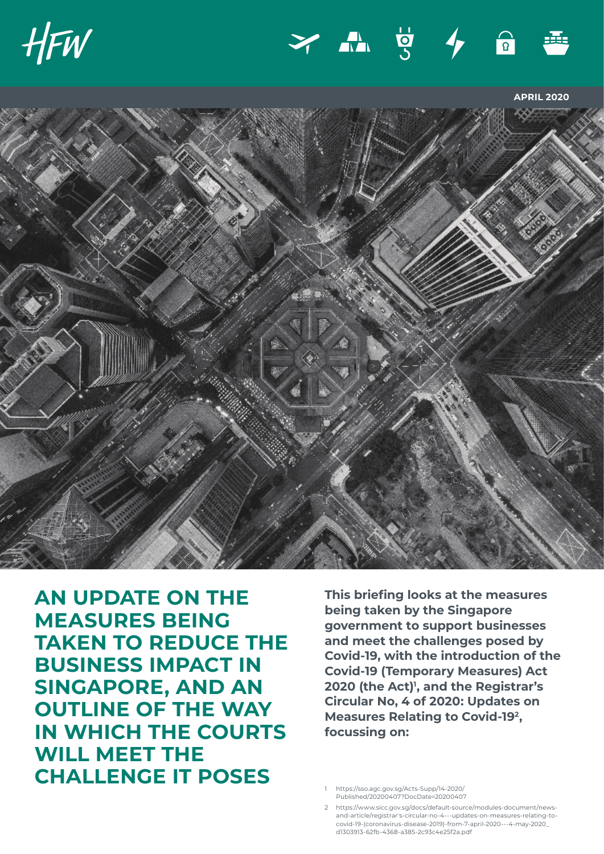





**AN UPDATE ON THE MEASURES BEING TAKEN TO REDUCE THE BUSINESS IMPACT IN SINGAPORE, AND AN OUTLINE OF THE WAY IN WHICH THE COURTS WILL MEET THE CHALLENGE IT POSES**

**This briefing looks at the measures being taken by the Singapore government to support businesses and meet the challenges posed by Covid-19, with the introduction of the Covid-19 (Temporary Measures) Act 2020 (the Act)1 , and the Registrar's Circular No, 4 of 2020: Updates on Measures Relating to Covid-192, focussing on:**

<sup>1</sup> [https://sso.agc.gov.sg/Acts-Supp/14-2020/](https://sso.agc.gov.sg/Acts-Supp/14-2020/Published/20200407?DocDate=20200407) [Published/20200407?DocDate=20200407](https://sso.agc.gov.sg/Acts-Supp/14-2020/Published/20200407?DocDate=20200407)

<sup>2</sup> [https://www.sicc.gov.sg/docs/default-source/modules-document/news](https://www.sicc.gov.sg/docs/default-source/modules-document/news-and-article/registrar)[and-article/registrar's-circular-no-4---updates-on-measures-relating-to-](https://www.sicc.gov.sg/docs/default-source/modules-document/news-and-article/registrar)[covid-19-\(coronavirus-disease-2019\)-from-7-april-2020---4-may-2020\\_](https://www.sicc.gov.sg/docs/default-source/modules-document/news-and-article/registrar) [d1303913-62fb-4368-a385-2c93c4e25f2a.pdf](https://www.sicc.gov.sg/docs/default-source/modules-document/news-and-article/registrar)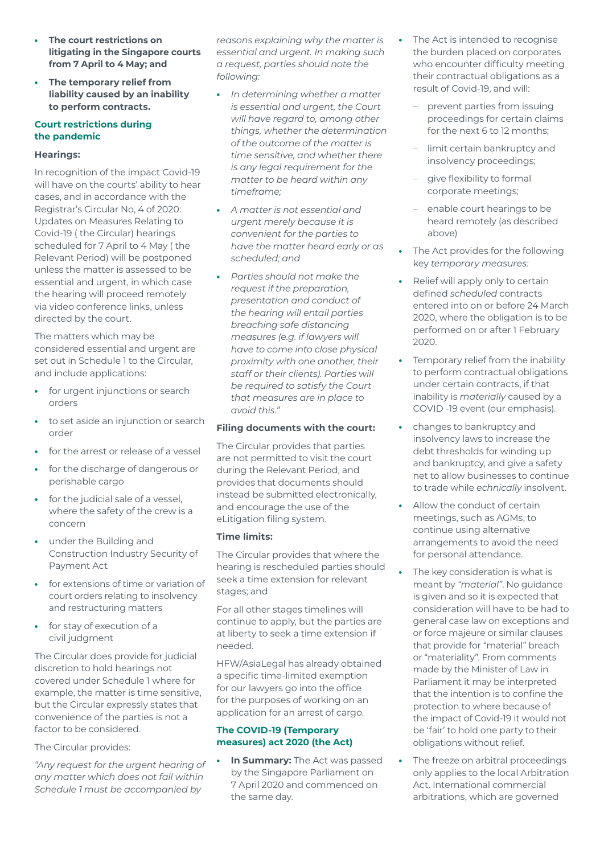- **• The court restrictions on litigating in the Singapore courts from 7 April to 4 May; and**
- **• The temporary relief from liability caused by an inability to perform contracts.**

## **Court restrictions during the pandemic**

### **Hearings:**

In recognition of the impact Covid-19 will have on the courts' ability to hear cases, and in accordance with the Registrar's Circular No, 4 of 2020: Updates on Measures Relating to Covid-19 ( the Circular) hearings scheduled for 7 April to 4 May ( the Relevant Period) will be postponed unless the matter is assessed to be essential and urgent, in which case the hearing will proceed remotely via video conference links, unless directed by the court.

The matters which may be considered essential and urgent are set out in Schedule 1 to the Circular, and include applications:

- **•** for urgent injunctions or search orders
- **•** to set aside an injunction or search order
- **•** for the arrest or release of a vessel
- **•** for the discharge of dangerous or perishable cargo
- **•** for the judicial sale of a vessel, where the safety of the crew is a concern
- **•** under the Building and Construction Industry Security of Payment Act
- **•** for extensions of time or variation of court orders relating to insolvency and restructuring matters
- **•** for stay of execution of a civil judgment

The Circular does provide for judicial discretion to hold hearings not covered under Schedule 1 where for example, the matter is time sensitive, but the Circular expressly states that convenience of the parties is not a factor to be considered.

The Circular provides:

*"Any request for the urgent hearing of any matter which does not fall within Schedule 1 must be accompanied by* 

*reasons explaining why the matter is essential and urgent. In making such a request, parties should note the following:*

- **•** *In determining whether a matter is essential and urgent, the Court will have regard to, among other things, whether the determination of the outcome of the matter is time sensitive, and whether there is any legal requirement for the matter to be heard within any timeframe;*
- **•** *A matter is not essential and urgent merely because it is convenient for the parties to have the matter heard early or as scheduled; and*
- **•** *Parties should not make the request if the preparation, presentation and conduct of the hearing will entail parties breaching safe distancing measures (e.g. if lawyers will have to come into close physical proximity with one another, their staff or their clients). Parties will be required to satisfy the Court that measures are in place to avoid this."*

### **Filing documents with the court:**

The Circular provides that parties are not permitted to visit the court during the Relevant Period, and provides that documents should instead be submitted electronically, and encourage the use of the eLitigation filing system.

### **Time limits:**

The Circular provides that where the hearing is rescheduled parties should seek a time extension for relevant stages; and

For all other stages timelines will continue to apply, but the parties are at liberty to seek a time extension if needed.

HFW/AsiaLegal has already obtained a specific time-limited exemption for our lawyers go into the office for the purposes of working on an application for an arrest of cargo.

## **The COVID-19 (Temporary measures) act 2020 (the Act)**

**• In Summary:** The Act was passed by the Singapore Parliament on 7 April 2020 and commenced on the same day.

- **•** The Act is intended to recognise the burden placed on corporates who encounter difficulty meeting their contractual obligations as a result of Covid-19, and will:
	- prevent parties from issuing proceedings for certain claims for the next 6 to 12 months;
	- limit certain bankruptcy and insolvency proceedings;
	- give flexibility to formal corporate meetings;
	- enable court hearings to be heard remotely (as described above)
- **•** The Act provides for the following key *temporary measures:*
- **•** Relief will apply only to certain defined *scheduled* contracts entered into on or before 24 March 2020, where the obligation is to be performed on or after 1 February 2020.
- **•** Temporary relief from the inability to perform contractual obligations under certain contracts, if that inability is *materially* caused by a COVID -19 event (our emphasis).
- **•** changes to bankruptcy and insolvency laws to increase the debt thresholds for winding up and bankruptcy, and give a safety net to allow businesses to continue to trade while *echnically* insolvent.
- **•** Allow the conduct of certain meetings, such as AGMs, to continue using alternative arrangements to avoid the need for personal attendance.
- **•** The key consideration is what is meant by *"material"*. No guidance is given and so it is expected that consideration will have to be had to general case law on exceptions and or force majeure or similar clauses that provide for "material" breach or "materiality". From comments made by the Minister of Law in Parliament it may be interpreted that the intention is to confine the protection to where because of the impact of Covid-19 it would not be 'fair' to hold one party to their obligations without relief.
- **•** The freeze on arbitral proceedings only applies to the local Arbitration Act. International commercial arbitrations, which are governed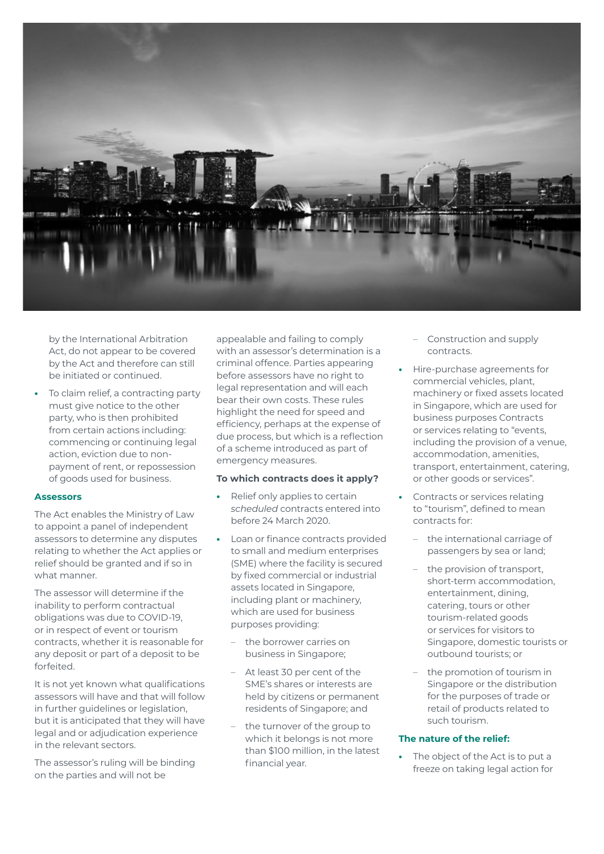

by the International Arbitration Act, do not appear to be covered by the Act and therefore can still be initiated or continued.

**•** To claim relief, a contracting party must give notice to the other party, who is then prohibited from certain actions including: commencing or continuing legal action, eviction due to nonpayment of rent, or repossession of goods used for business.

### **Assessors**

The Act enables the Ministry of Law to appoint a panel of independent assessors to determine any disputes relating to whether the Act applies or relief should be granted and if so in what manner.

The assessor will determine if the inability to perform contractual obligations was due to COVID-19, or in respect of event or tourism contracts, whether it is reasonable for any deposit or part of a deposit to be forfeited.

It is not yet known what qualifications assessors will have and that will follow in further guidelines or legislation, but it is anticipated that they will have legal and or adjudication experience in the relevant sectors.

The assessor's ruling will be binding on the parties and will not be

appealable and failing to comply with an assessor's determination is a criminal offence. Parties appearing before assessors have no right to legal representation and will each bear their own costs. These rules highlight the need for speed and efficiency, perhaps at the expense of due process, but which is a reflection of a scheme introduced as part of emergency measures.

### **To which contracts does it apply?**

- **•** Relief only applies to certain *scheduled* contracts entered into before 24 March 2020.
- **•** Loan or finance contracts provided to small and medium enterprises (SME) where the facility is secured by fixed commercial or industrial assets located in Singapore, including plant or machinery, which are used for business purposes providing:
	- the borrower carries on business in Singapore;
	- At least 30 per cent of the SME's shares or interests are held by citizens or permanent residents of Singapore; and
	- the turnover of the group to which it belongs is not more than \$100 million, in the latest financial year.
- Construction and supply contracts.
- **•** Hire-purchase agreements for commercial vehicles, plant, machinery or fixed assets located in Singapore, which are used for business purposes Contracts or services relating to "events, including the provision of a venue, accommodation, amenities, transport, entertainment, catering, or other goods or services".
- **•** Contracts or services relating to "tourism", defined to mean contracts for:
	- the international carriage of passengers by sea or land;
	- the provision of transport, short-term accommodation, entertainment, dining, catering, tours or other tourism-related goods or services for visitors to Singapore, domestic tourists or outbound tourists; or
	- the promotion of tourism in Singapore or the distribution for the purposes of trade or retail of products related to such tourism.

### **The nature of the relief:**

**•** The object of the Act is to put a freeze on taking legal action for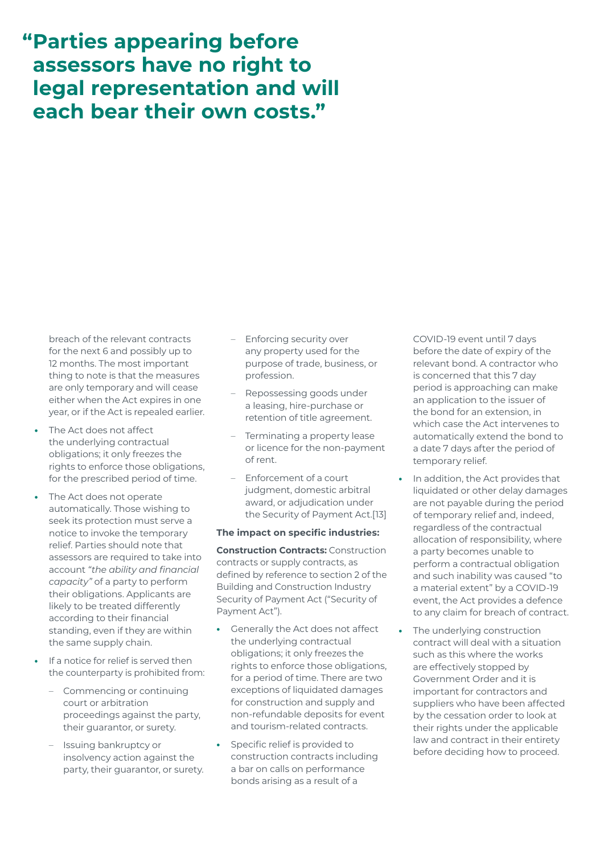# **"Parties appearing before assessors have no right to legal representation and will each bear their own costs."**

breach of the relevant contracts for the next 6 and possibly up to 12 months. The most important thing to note is that the measures are only temporary and will cease either when the Act expires in one year, or if the Act is repealed earlier.

- **•** The Act does not affect the underlying contractual obligations; it only freezes the rights to enforce those obligations, for the prescribed period of time.
- **•** The Act does not operate automatically. Those wishing to seek its protection must serve a notice to invoke the temporary relief. Parties should note that assessors are required to take into account *"the ability and financial capacity"* of a party to perform their obligations. Applicants are likely to be treated differently according to their financial standing, even if they are within the same supply chain.
- **•** If a notice for relief is served then the counterparty is prohibited from:
	- Commencing or continuing court or arbitration proceedings against the party, their guarantor, or surety.
	- Issuing bankruptcy or insolvency action against the party, their guarantor, or surety.
- Enforcing security over any property used for the purpose of trade, business, or profession.
- Repossessing goods under a leasing, hire-purchase or retention of title agreement.
- Terminating a property lease or licence for the non-payment of rent.
- Enforcement of a court judgment, domestic arbitral award, or adjudication under the Security of Payment Act.[13]

### **The impact on specific industries:**

**Construction Contracts:** Construction contracts or supply contracts, as defined by reference to section 2 of the Building and Construction Industry Security of Payment Act ("Security of Payment Act").

- **•** Generally the Act does not affect the underlying contractual obligations; it only freezes the rights to enforce those obligations, for a period of time. There are two exceptions of liquidated damages for construction and supply and non-refundable deposits for event and tourism-related contracts.
- **•** Specific relief is provided to construction contracts including a bar on calls on performance bonds arising as a result of a

COVID-19 event until 7 days before the date of expiry of the relevant bond. A contractor who is concerned that this 7 day period is approaching can make an application to the issuer of the bond for an extension, in which case the Act intervenes to automatically extend the bond to a date 7 days after the period of temporary relief.

- **•** In addition, the Act provides that liquidated or other delay damages are not payable during the period of temporary relief and, indeed, regardless of the contractual allocation of responsibility, where a party becomes unable to perform a contractual obligation and such inability was caused "to a material extent" by a COVID-19 event, the Act provides a defence to any claim for breach of contract.
- **•** The underlying construction contract will deal with a situation such as this where the works are effectively stopped by Government Order and it is important for contractors and suppliers who have been affected by the cessation order to look at their rights under the applicable law and contract in their entirety before deciding how to proceed.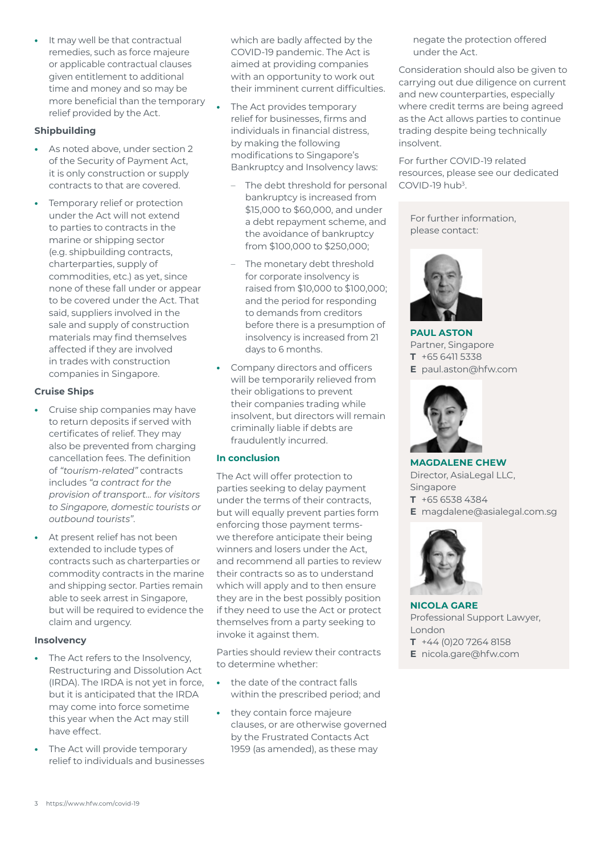**•** It may well be that contractual remedies, such as force majeure or applicable contractual clauses given entitlement to additional time and money and so may be more beneficial than the temporary relief provided by the Act.

## **Shipbuilding**

- **•** As noted above, under section 2 of the Security of Payment Act, it is only construction or supply contracts to that are covered.
- **•** Temporary relief or protection under the Act will not extend to parties to contracts in the marine or shipping sector (e.g. shipbuilding contracts, charterparties, supply of commodities, etc.) as yet, since none of these fall under or appear to be covered under the Act. That said, suppliers involved in the sale and supply of construction materials may find themselves affected if they are involved in trades with construction companies in Singapore.

## **Cruise Ships**

- **•** Cruise ship companies may have to return deposits if served with certificates of relief. They may also be prevented from charging cancellation fees. The definition of *"tourism-related"* contracts includes *"a contract for the provision of transport… for visitors to Singapore, domestic tourists or outbound tourists"*.
- **•** At present relief has not been extended to include types of contracts such as charterparties or commodity contracts in the marine and shipping sector. Parties remain able to seek arrest in Singapore, but will be required to evidence the claim and urgency.

## **Insolvency**

- **•** The Act refers to the Insolvency, Restructuring and Dissolution Act (IRDA). The IRDA is not yet in force, but it is anticipated that the IRDA may come into force sometime this year when the Act may still have effect.
- **•** The Act will provide temporary relief to individuals and businesses

which are badly affected by the COVID-19 pandemic. The Act is aimed at providing companies with an opportunity to work out their imminent current difficulties.

- **•** The Act provides temporary relief for businesses, firms and individuals in financial distress, by making the following modifications to Singapore's Bankruptcy and Insolvency laws:
	- The debt threshold for personal bankruptcy is increased from \$15,000 to \$60,000, and under a debt repayment scheme, and the avoidance of bankruptcy from \$100,000 to \$250,000;
	- The monetary debt threshold for corporate insolvency is raised from \$10,000 to \$100,000; and the period for responding to demands from creditors before there is a presumption of insolvency is increased from 21 days to 6 months.
- **•** Company directors and officers will be temporarily relieved from their obligations to prevent their companies trading while insolvent, but directors will remain criminally liable if debts are fraudulently incurred.

## **In conclusion**

The Act will offer protection to parties seeking to delay payment under the terms of their contracts, but will equally prevent parties form enforcing those payment termswe therefore anticipate their being winners and losers under the Act, and recommend all parties to review their contracts so as to understand which will apply and to then ensure they are in the best possibly position if they need to use the Act or protect themselves from a party seeking to invoke it against them.

Parties should review their contracts to determine whether:

- **•** the date of the contract falls within the prescribed period; and
- **•** they contain force majeure clauses, or are otherwise governed by the Frustrated Contacts Act 1959 (as amended), as these may

negate the protection offered under the Act.

Consideration should also be given to carrying out due diligence on current and new counterparties, especially where credit terms are being agreed as the Act allows parties to continue trading despite being technically insolvent.

For further COVID-19 related resources, please see our dedicated COVID-19 hub<sup>3</sup>.

For further information, please contact:



**PAUL ASTON** Partner, Singapore **T** +65 6411 5338 **E** paul.aston@hfw.com



**MAGDALENE CHEW** Director, AsiaLegal LLC, Singapore **T** +65 6538 4384 **E** magdalene@asialegal.com.sg



**NICOLA GARE** Professional Support Lawyer, London **T** +44 (0)20 7264 8158 **E** nicola.gare@hfw.com